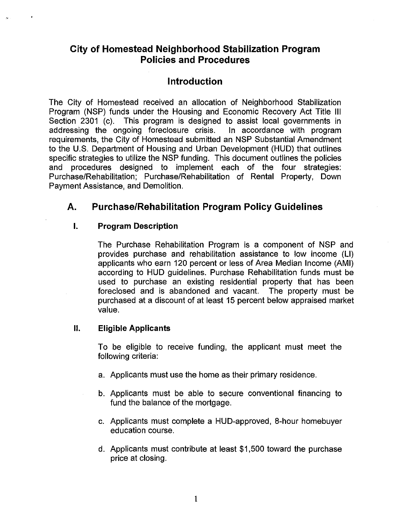## **City of Homestead Neighborhood Stabilization Program Policies and Procedures**

# **Introduction**

The City of Homestead received an allocation of Neighborhood Stabilization Program (NSP) funds under the Housing and Economic Recovery Act Title Ill Section 2301 (c). This program is designed to assist local governments in addressing the ongoing foreclosure crisis. In accordance with program addressing the ongoing foreclosure crisis. requirements, the City of Homestead submitted an NSP Substantial Amendment to the U.S. Department of Housing and Urban Development (HUD) that outlines specific strategies to utilize the NSP funding. This document outlines the policies and procedures designed to implement each of the four strategies: Purchase/Rehabilitation; Purchase/Rehabilitation of Rental Property, Down Payment Assistance, and Demolition.

# **A. Purchase/Rehabilitation Program Policy Guidelines**

## **I. Program Description**

The Purchase Rehabilitation Program is a component of NSP and provides purchase and rehabilitation assistance to low income (LI) applicants who earn 120 percent or less of Area Median Income (AMI) according to HUD guidelines. Purchase Rehabilitation funds must be used to purchase an existing residential property that has been foreclosed and is abandoned and vacant. The property must be purchased at a discount of at least 15 percent below appraised market value.

### II. **Eligible Applicants**

To be eligible to receive funding, the applicant must meet the following criteria:

- a. Applicants must use the home as their primary residence.
- b. Applicants must be able to secure conventional financing to fund the balance of the mortgage.
- c. Applicants must complete a HUD-approved, 8-hour homebuyer education course.
- d. Applicants must contribute at least \$1,500 toward the purchase price at closing.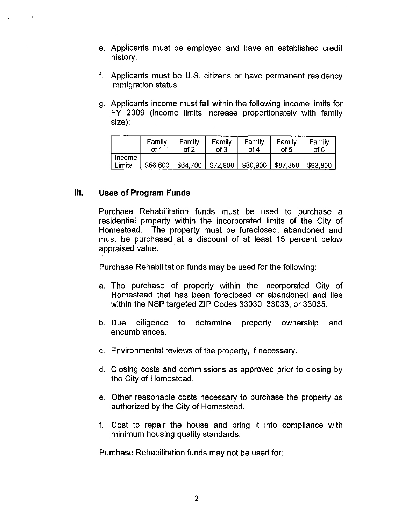- e. Applicants must be employed and have an established credit history.
- f. Applicants must be U.S. citizens or have permanent residency immigration status.
- g. Applicants income must fall within the following income limits for FY 2009 (income limits increase proportionately with family size):

|                  | Family   | Family   | Family   | Family   | Family   | Family   |
|------------------|----------|----------|----------|----------|----------|----------|
|                  | of 1     | nf 2     | of 3     | of 4     | of 5     | of 6     |
| Income<br>Limits | \$56,600 | \$64,700 | \$72,800 | \$80,900 | \$87,350 | \$93,800 |

#### **Ill. Uses of Program Funds**

Purchase Rehabilitation funds must be used to purchase a residential property within the incorporated limits of the City of Homestead. The property must be foreclosed, abandoned and must be purchased at a discount of at least 15 percent below appraised value.

Purchase Rehabilitation funds may be used for the following:

- a. The purchase of property within the incorporated City of Homestead that has been foreclosed or abandoned and lies within the NSP targeted ZIP Codes 33030, 33033, or 33035.
- b. Due diligence to determine property ownership and encumbrances.
- c. Environmental reviews of the property, if necessary.
- d. Closing costs and commissions as approved prior to closing by the City of Homestead.
- e. Other reasonable costs necessary to purchase the property as authorized by the City of Homestead.
- f. Cost to repair the house and bring it into compliance with minimum housing quality standards.

Purchase Rehabilitation funds may not be used for: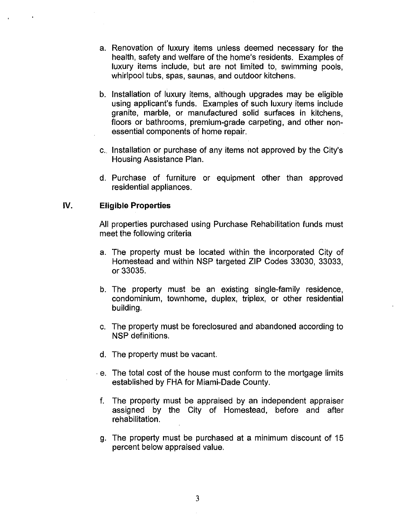- a. Renovation of luxury items unless deemed necessary for the health, safety and welfare of the home's residents. Examples of luxury items include, but are not limited to, swimming pools, whirlpool tubs, spas, saunas, and outdoor kitchens.
- b. Installation of luxury items, although upgrades may be eligible using applicant's funds. Examples of such luxury items include granite, marble, or manufactured solid surfaces in kitchens, floors or bathrooms, premium-grade carpeting, and other nonessential components of home repair.
- c. Installation or purchase of any items not approved by the City's Housing Assistance Plan.
- d. Purchase of furniture or equipment other than approved residential appliances.

#### IV. **Eligible Properties**

All properties purchased using Purchase Rehabilitation funds must meet the following criteria

- a. The property must be located within the incorporated City of Homestead and within NSP targeted ZIP Codes 33030, 33033, or 33035.
- b. The property must be an existing single-family residence, condominium, townhome, duplex, triplex, or other residential building.
- c. The property must be foreclosured and abandoned according to NSP definitions.
- d. The property must be vacant.
- . e. The total cost of the house must conform to the mortgage limits established by FHA for Miami-Dade County.
- f. The property must be appraised by an independent appraiser assigned by the City of Homestead, before and after rehabilitation.
- g. The property must be purchased at a minimum discount of 15 percent below appraised value.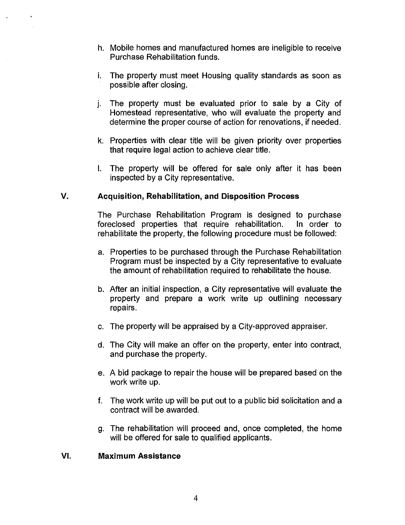- h. Mobile homes and manufactured homes are ineligible to receive Purchase Rehabilitation funds.
- i. The property must meet Housing quality standards as soon as possible after closing.
- j. The property must be evaluated prior to sale by a City of Homestead representative, who will evaluate the property and determine the proper course of action for renovations, if needed.
- k. Properties with clear title will be given priority over properties that require legal action to achieve clear title.
- I. The property will be offered for sale only after it has been inspected by a City representative.

## **V. Acquisition, Rehabilitation, and Disposition Process**

The Purchase Rehabilitation Program is designed to purchase foreclosed properties that require rehabilitation. In order to rehabilitate the property, the following procedure must be followed:

- a. Properties to be purchased through the Purchase Rehabilitation Program must be inspected by a City representative to evaluate the amount of rehabilitation required to rehabilitate the house.
- b. After an initial inspection, a City representative will evaluate the property and prepare a work write up outlining necessary repairs.
- c. The property will be appraised by a City-approved appraiser.
- d. The City will make an offer on the property, enter into contract, and purchase the property.
- e. A bid package to repair the house will be prepared based on the work write up.
- f. The work write up will be put out to a public bid solicitation and a contract will be awarded.
- g. The rehabilitation will proceed and, once completed, the home will be offered for sale to qualified applicants.

### **VI. Maximum Assistance**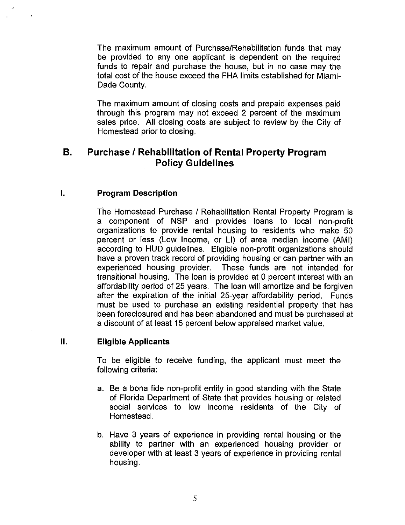The maximum amount of Purchase/Rehabilitation funds that may be provided to any one applicant is dependent on the required funds to repair and purchase the house, but in no case may the total cost of the house exceed the FHA limits established for Miami-Dade County.

The maximum amount of closing costs and prepaid expenses paid through this program may not exceed 2 percent of the maximum sales price. All closing costs are subject to review by the City of Homestead prior to closing.

## **8. Purchase I Rehabilitation of Rental Property Program Policy Guidelines**

### **I. Program Description**

The Homestead Purchase / Rehabilitation Rental Property Program is a component of NSP and provides loans to local non-profit organizations to provide rental housing to residents who make 50 percent or less (Low Income, or LI) of area median income (AMI) according to HUD guidelines. Eligible non-profit organizations should have a proven track record of providing housing or can partner with an experienced housing provider. These funds are not intended for transitional housing. The loan is provided at 0 percent interest with an affordability period of 25 years. The loan will amortize and be forgiven after the expiration of the initial 25-year affordability period. Funds must be used to purchase an existing residential property that has been foreclosured and has been abandoned and must be purchased at a discount of at least 15 percent below appraised market value.

#### **II. Eligible Applicants**

To be eligible to receive funding, the applicant must meet the following criteria:

- a. Be a bona fide non-profit entity in good standing with the State of Florida Department of State that provides housing or related social services to low income residents of the City of Homestead.
- b. Have 3 years of experience in providing rental housing or the ability to partner with an experienced housing provider or developer with at least 3 years of experience in providing rental housing.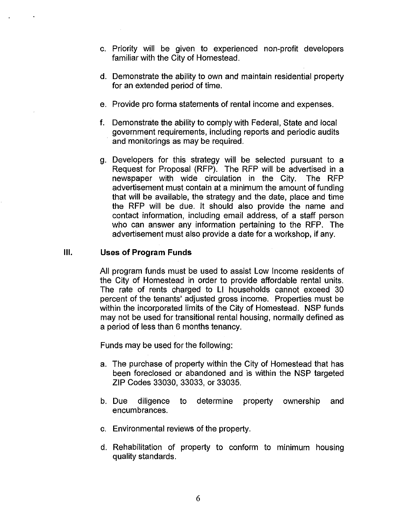- c. Priority will be given to experienced non-profit developers familiar with the City of Homestead.
- d. Demonstrate the ability to own and maintain residential property for an extended period of time.
- e. Provide pro forma statements of rental income and expenses.
- f. Demonstrate the ability to comply with Federal, State and local government requirements, including reports and periodic audits and monitorings as may be required.
- g. Developers for this strategy will be selected pursuant to a Request for Proposal (RFP). The RFP will be advertised in a newspaper with wide circulation in the City. The RFP advertisement must contain at a minimum the amount of funding that will be available, the strategy and the date, place and time the RFP will be due. It should also provide the name and contact information, including email address, of a staff person who can answer any information pertaining to the RFP. The advertisement must also provide a date for a workshop, if any.

## **Ill. Uses of Program Funds**

All program funds must be used to assist Low Income residents of the City of Homestead in order to provide affordable rental units. The rate of rents charged to LI households cannot exceed 30 percent of the tenants' adjusted gross income. Properties must be within the incorporated limits of the City of Homestead. NSP funds may not be used for transitional rental housing, normally defined as a period of less than 6 months tenancy.

Funds may be used for the following:

- a. The purchase of property within the City of Homestead that has been foreclosed or abandoned and is within the NSP targeted ZIP Codes 33030, 33033, or 33035.
- b. Due diligence to determine property ownership and encumbrances.
- c. Environmental reviews of the property.
- d. Rehabilitation of property to conform to minimum housing quality standards.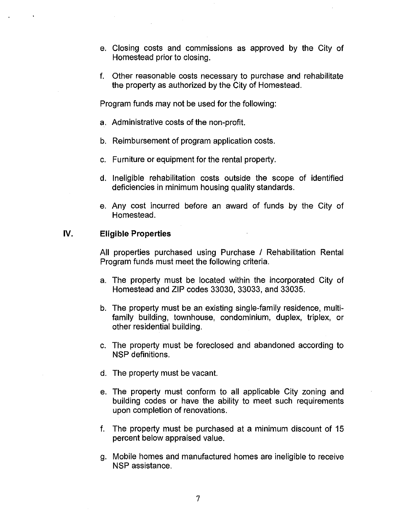- e. Closing costs and commissions as approved by the City of Homestead prior to closing.
- f. Other reasonable costs necessary to purchase and rehabilitate the property as authorized by the City of Homestead.

Program funds may not be used for the following:

- a. Administrative costs of the non-profit.
- b. Reimbursement of program application costs.
- c. Furniture or equipment for the rental property.
- d. Ineligible rehabilitation costs outside the scope of identified deficiencies in minimum housing quality standards.
- e. Any cost incurred before an award of funds by the City of Homestead.

#### **IV. Eligible Properties**

All properties purchased using Purchase / Rehabilitation Rental Program funds must meet the following criteria.

- a. The property must be located within the incorporated City of Homestead and ZIP codes 33030, 33033, and 33035.
- b. The property must be an existing single-family residence, multifamily building, townhouse, condominium, duplex, triplex, or other residential building.
- c. The property must be foreclosed and abandoned according to NSP definitions.
- d. The property must be vacant.
- e. The property must conform to all applicable City zoning and building codes or have the ability to meet such requirements upon completion of renovations.
- f. The property must be purchased at a minimum discount of 15 percent below appraised value.
- g. Mobile homes and manufactured homes are ineligible to receive NSP assistance.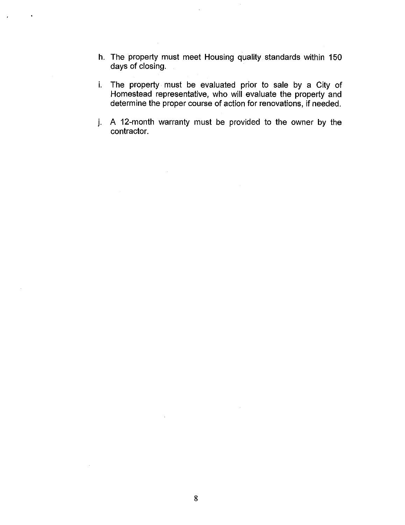- h. The property must meet Housing quality standards within 150 days of closing.
- i. The property must be evaluated prior to sale by a City of Homestead representative, who will evaluate the property and determine the proper course of action for renovations, if needed.
- j. A 12-month warranty must be provided to the owner by the contractor.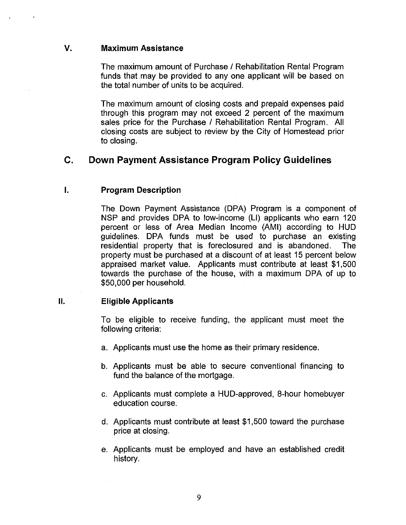#### **V. Maximum Assistance**

The maximum amount of Purchase / Rehabilitation Rental Program funds that may be provided to any one applicant will be based on the total number of units to be acquired.

The maximum amount of closing costs and prepaid expenses paid through this program may not exceed 2 percent of the maximum sales price for the Purchase / Rehabilitation Rental Program. All closing costs are subject to review by the City of Homestead prior to closing.

## **C. Down Payment Assistance Program Policy Guidelines**

#### **I. Program Description**

The Down Payment Assistance (DPA) Program is a component of NSP and provides DPA to low-income (LI) applicants who earn 120 percent or less of Area Median Income (AMI) according to HUD guidelines. DPA funds must be used to purchase an existing residential property that is foreclosured and is abandoned. The property must be purchased at a discount of at least 15 percent below appraised market value. Applicants must contribute at least \$1,500 towards the purchase of the house, with a maximum DPA of up to \$50,000 per household.

### **II. Eligible Applicants**

To be eligible to receive funding, the applicant must meet the following criteria:

- a. Applicants must use the home as their primary residence.
- b. Applicants must be able to secure conventional financing to fund the balance of the mortgage.
- c. Applicants must complete a HUD-approved, 8-hour homebuyer education course.
- d. Applicants must contribute at least \$1,500 toward the purchase price at closing.
- e. Applicants must be employed and have an established credit history.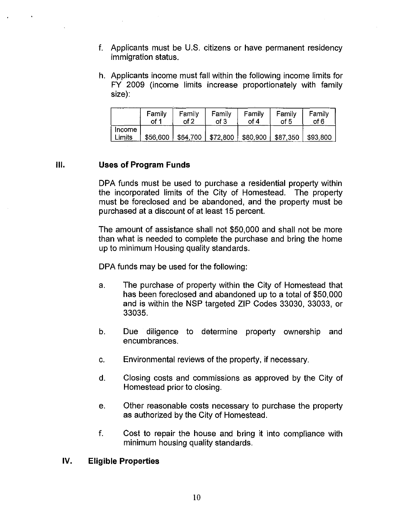- f. Applicants must be U.S. citizens or have permanent residency immigration status.
- h. Applicants income must fall within the following income limits for FY 2009 (income limits increase proportionately with family size):

|                  | Family   | Family | Family | Family                         | Family   | Family   |
|------------------|----------|--------|--------|--------------------------------|----------|----------|
|                  | of 1     | of 2   | of 3   | of 4                           | of 5     | of 6     |
| Income<br>Limits | \$56,600 |        |        | \$64,700   \$72,800   \$80,900 | \$87,350 | \$93,800 |

## **Ill. Uses of Program Funds**

DPA funds must be used to purchase a residential property within the incorporated limits of the City of Homestead. The property must be foreclosed and be abandoned, and the property must be purchased at a discount of at least 15 percent.

The amount of assistance shall not \$50,000 and shall not be more than what is needed to complete the purchase and bring the home up to minimum Housing quality standards.

DPA funds may be used for the following:

- a. The purchase of property within the City of Homestead that has been foreclosed and abandoned up to a total of \$50,000 and is within the NSP targeted ZIP Codes 33030, 33033, or 33035.
- b. Due diligence to determine property ownership and encumbrances.
- c. Environmental reviews of the property, if necessary.
- d. Closing costs and commissions as approved by the City of Homestead prior to closing.
- e. Other reasonable costs necessary to purchase the property as authorized by the City of Homestead.
- f. Cost to repair the house and bring it into compliance with minimum housing quality standards.

### **IV. Eligible Properties**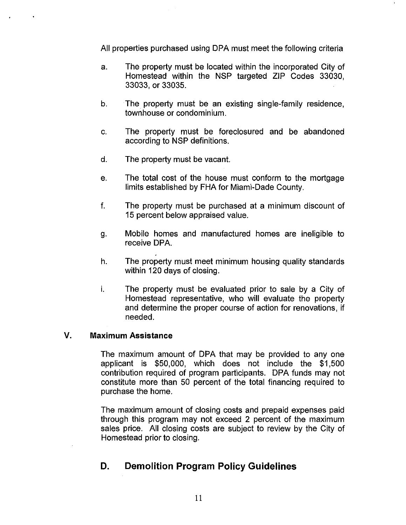All properties purchased using DPA must meet the following criteria

- a. The property must be located within the incorporated City of Homestead within the NSP targeted ZIP Codes 33030, 33033, or 33035.
- b. The property must be an existing single-family residence, townhouse or condominium.
- c. The property must be foreclosured and be abandoned according to NSP definitions.
- d. The property must be vacant.
- e. The total cost of the house must conform to the mortgage limits established by FHA for Miami-Dade County.
- f. The property must be purchased at a minimum discount of 15 percent below appraised value.
- g. Mobile homes and manufactured homes are ineligible to receive DPA.
- h. The property must meet minimum housing quality standards within 120 days of closing.
- i. The property must be evaluated prior to sale by a City of Homestead representative, who will evaluate the property and determine the proper course of action for renovations, if needed.

#### **V. Maximum Assistance**

The maximum amount of DPA that may be provided to any one applicant is \$50,000, which does not include the \$1,500 contribution required of program participants. DPA funds may not constitute more than 50 percent of the total financing required to purchase the home.

The maximum amount of closing costs and prepaid expenses paid through this program may not exceed 2 percent of the maximum sales price. All closing costs are subject to review by the City of Homestead prior to closing.

# **D. Demolition Program Policy Guidelines**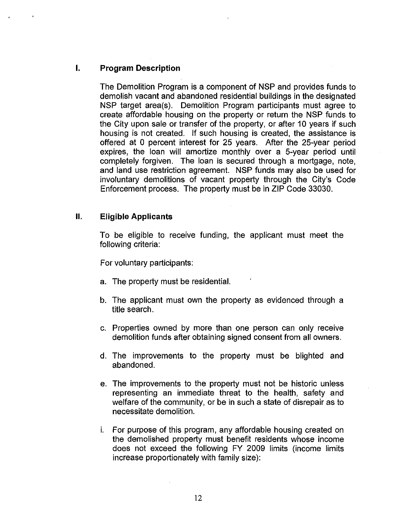## **I. Program Description**

The Demolition Program is a component of NSP and provides funds to demolish vacant and abandoned residential buildings in the designated NSP target area(s). Demolition Program participants must agree to create affordable housing on the property or return the NSP funds to the City upon sale or transfer of the property, or after 10 years if such housing is not created. If such housing is created, the assistance is offered at 0 percent interest for 25 years. After the 25-year period expires, the loan will amortize monthly over a 5-year period until completely forgiven. The loan is secured through a mortgage, note, and land use restriction agreement. NSP funds may also be used for involuntary demolitions of vacant property through the City's Code Enforcement process. The property must be in ZIP Code 33030.

#### **II. Eligible Applicants**

To be eligible to receive funding, the applicant must meet the following criteria:

For voluntary participants:

- a. The property must be residential.
- b. The applicant must own the property as evidenced through a title search.
- c. Properties owned by more than one person can only receive demolition funds after obtaining signed consent from all owners.
- d. The improvements to the property must be blighted and abandoned.
- e. The improvements to the property must not be historic unless representing an immediate threat to the health, safety and welfare of the community, or be in such a state of disrepair as to necessitate demolition.
- i. For purpose of this program, any affordable housing created on the demolished property must benefit residents whose income does not exceed the following FY 2009 limits (income limits increase proportionately with family size):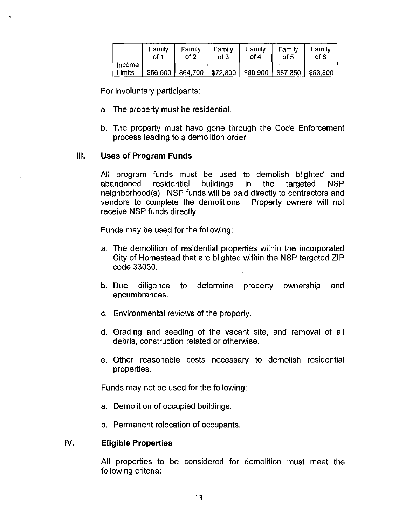|                         | Family   | Family   | Family                 | Family   | Family   | Family   |
|-------------------------|----------|----------|------------------------|----------|----------|----------|
|                         | of 1     | of 2     | of 3                   | of 4     | of 5     | of 6     |
| <b>Income</b><br>Limits | \$56,600 | \$64,700 | $\frac{1}{2}$ \$72,800 | \$80,900 | \$87,350 | \$93,800 |

For involuntary participants:

- a. The property must be residential.
- b. The property must have gone through the Code Enforcement process leading to a demolition order.

#### **Ill. Uses of Program Funds**

All program funds must be used to demolish blighted and abandoned residential buildings in the targeted NSP abandoned residential buildings in the targeted NSP neighborhood(s). NSP funds will be paid directly to contractors and vendors to complete the demolitions. Property owners will not receive NSP funds directly.

Funds may be used for the following:

- a. The demolition of residential properties within the incorporated City of Homestead that are blighted within the NSP targeted ZIP code 33030.
- b. Due diligence to determine property ownership and encumbrances.
- c. Environmental reviews of the property.
- d. Grading and seeding of the vacant site, and removal of all debris, construction-related or otherwise.
- e. Other reasonable costs necessary to demolish residential properties.

Funds may not be used for the following:

- a. Demolition of occupied buildings.
- b. Permanent relocation of occupants.

#### IV. **Eligible Properties**

All properties to be considered for demolition must meet the following criteria: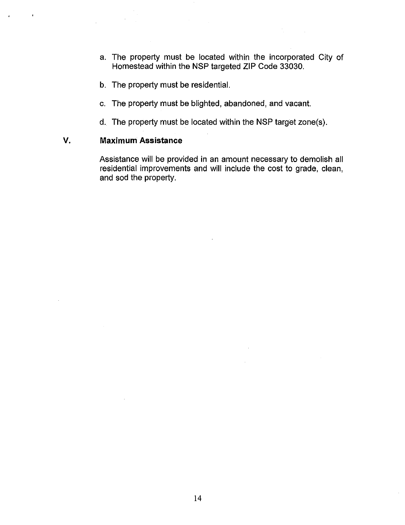- a. The property must be located within the incorporated City of Homestead within the NSP targeted ZIP Code 33030.
- b. The property must be residential.
- c. The property must be blighted, abandoned, and vacant.
- d. The property must be located within the NSP target zone(s).

## **V. Maximum Assistance**

Assistance will be provided in an amount necessary to demolish all residential improvements and will include the cost to grade, clean, and sod the property.

 $\sim$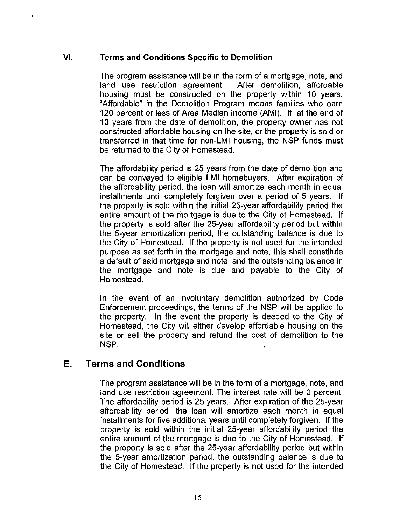#### **VI. Terms and Conditions Specific to Demolition**

The program assistance will be in the form of a mortgage, note, and land use restriction agreement. After demolition, affordable housing must be constructed on the property within 10 years. "Affordable" in the Demolition Program means families who earn 120 percent or less of Area Median Income (AMI). If, at the end of 10 years from the date of demolition, the property owner has not constructed affordable housing on the site, or the property is sold or transferred in that time for non-LMI housing, the NSP funds must be returned to the City of Homestead.

The affordability period is 25 years from the date of demolition and can be conveyed to eligible LMI homebuyers. After expiration of the affordability period, the loan will amortize each month in equal installments until completely forgiven over a period of 5 years. If the property is sold within the initial 25-year affordability period the entire amount of the mortgage is due to the City of Homestead. If the property is sold after the 25-year affordability period but within the 5-year amortization period, the outstanding balance is due to the City of Homestead. If the property is not used for the intended purpose as set forth in the mortgage and note, this shall constitute a default of said mortgage and note, and the outstanding balance in the mortgage and note is due and payable to the City of Homestead.

In the event of an involuntary demolition authorized by Code Enforcement proceedings, the terms of the NSP will be applied to the property. In the event the property is deeded to the City of Homestead, the City will either develop affordable housing on the site or sell the property and refund the cost of demolition to the NSP.

## **E. Terms and Conditions**

The program assistance will be in the form of a mortgage, note, and land use restriction agreement. The interest rate will be 0 percent. The affordability period is 25 years. After expiration of the 25-year affordability period, the loan will amortize each month in equal installments for five additional years until completely forgiven. If the property is sold within the initial 25-year affordability period the entire amount of the mortgage is due to the City of Homestead. If the property is sold after the 25-year affordability period but within the 5-year amortization period, the outstanding balance is due to the City of Homestead. If the property is not used for the intended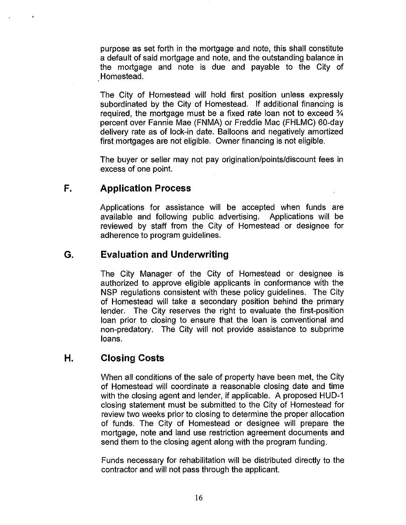purpose as set forth in the mortgage and note, this shall constitute a default of said mortgage and note, and the outstanding balance in the mortgage and note is due and payable to the City of Homestead.

The City of Homestead will hold first position unless expressly subordinated by the City of Homestead. If additional financing is required, the mortgage must be a fixed rate loan not to exceed % percent over Fannie Mae (FNMA) or Freddie Mac (FHLMC) 60-day delivery rate as of lock-in date. Balloons and negatively amortized first mortgages are not eligible. Owner financing is not eligible.

The buyer or seller may not pay origination/points/discount fees in excess of one point.

# **F. Application Process**

Applications for assistance will be accepted when funds are available and following public advertising. Applications will be reviewed by staff from the City of Homestead or designee for adherence to program guidelines.

# **G. Evaluation and Underwriting**

The City Manager of the City of Homestead or designee is authorized to approve eligible applicants in conformance with the NSP regulations consistent with these policy guidelines. The City of Homestead will take a secondary position behind the primary lender. The City reserves the right to evaluate the first-position loan prior to closing to ensure that the loan is conventional and non-predatory. The City will not provide assistance to subprime loans.

# **H. Closing Costs**

When all conditions of the sale of property have been met, the City of Homestead will coordinate a reasonable closing date and time with the closing agent and lender, if applicable. A proposed HUD-1 closing statement must be submitted to the City of Homestead for review two weeks prior to closing to determine the proper allocation of funds. The City of Homestead or designee will prepare the mortgage, note and land use restriction agreement documents and send them to the closing agent along with the program funding.

Funds necessary for rehabilitation will be distributed directly to the contractor and will not pass through the applicant.